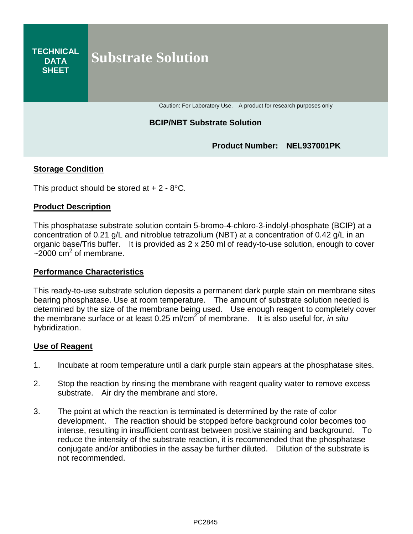#### **TECHNICAL DATA SHEET Substrate Solution**

Caution: For Laboratory Use. A product for research purposes only

## **BCIP/NBT Substrate Solution**

**Product Number: NEL937001PK**

## **Storage Condition**

This product should be stored at  $+ 2 - 8$  °C.

### **Product Description**

This phosphatase substrate solution contain 5-bromo-4-chloro-3-indolyl-phosphate (BCIP) at a concentration of 0.21 g/L and nitroblue tetrazolium (NBT) at a concentration of 0.42 g/L in an organic base/Tris buffer. It is provided as 2 x 250 ml of ready-to-use solution, enough to cover  $\approx$  2000 cm<sup>2</sup> of membrane.

### **Performance Characteristics**

This ready-to-use substrate solution deposits a permanent dark purple stain on membrane sites bearing phosphatase. Use at room temperature. The amount of substrate solution needed is determined by the size of the membrane being used. Use enough reagent to completely cover the membrane surface or at least 0.25 ml/cm2 of membrane. It is also useful for, *in situ* hybridization.

### **Use of Reagent**

- 1. Incubate at room temperature until a dark purple stain appears at the phosphatase sites.
- 2. Stop the reaction by rinsing the membrane with reagent quality water to remove excess substrate. Air dry the membrane and store.
- 3. The point at which the reaction is terminated is determined by the rate of color development. The reaction should be stopped before background color becomes too intense, resulting in insufficient contrast between positive staining and background. To reduce the intensity of the substrate reaction, it is recommended that the phosphatase conjugate and/or antibodies in the assay be further diluted. Dilution of the substrate is not recommended.